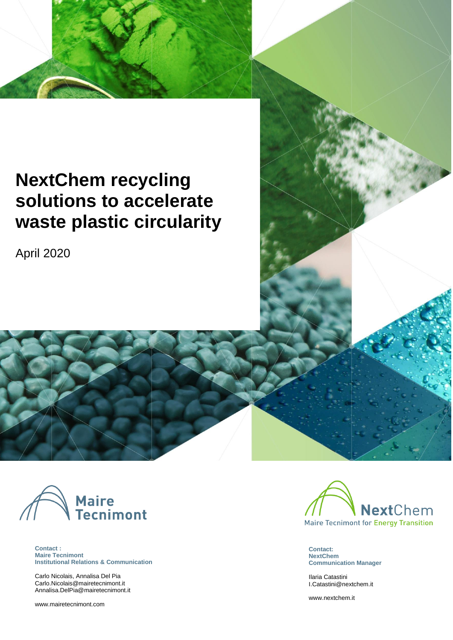# **NextChem recycling solutions to accelerate waste plastic circularity**

 $N_{\rm eff}$  recycling solutions to accelerate waste plastic circularity was tensor for  $\sim$ 

April 2020



\ **Contact : Maire Tecnimont Institutional Relations & Communication**

Carlo Nicolais, Annalisa Del Pia [Carlo.Nicolais@mairetecnimont.it](mailto:Carlo.Nicolais@mairetecnimont.it) [Annalisa.DelPia@mairetecnimont.it](mailto:Annalisa.DelPia@mairetecnimont.it)

[www.mairetecnimont.com](http://www.mairetecnimont.com/) **and the main and the main and the main and the main and the main and the main and the main and the main and the main and the main and the main and the main and the main and the main and the main and** 



**Contact: NextChem Communication Manager**

Ilaria Catastini [I.Catastini@nextchem.it](mailto:I.Catastini@nextchem.it)

[www.nextchem.it](http://www.nextchem.it/)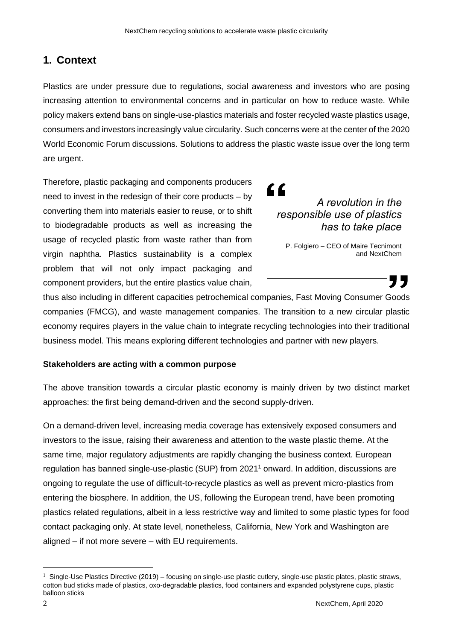# **1. Context**

Plastics are under pressure due to regulations, social awareness and investors who are posing increasing attention to environmental concerns and in particular on how to reduce waste. While policy makers extend bans on single-use-plastics materials and foster recycled waste plastics usage, consumers and investors increasingly value circularity. Such concerns were at the center of the 2020 World Economic Forum discussions. Solutions to address the plastic waste issue over the long term are urgent.

Therefore, plastic packaging and components producers need to invest in the redesign of their core products – by converting them into materials easier to reuse, or to shift to biodegradable products as well as increasing the usage of recycled plastic from waste rather than from virgin naphtha. Plastics sustainability is a complex problem that will not only impact packaging and component providers, but the entire plastics value chain,

# $\blacksquare$ *A revolution in the responsible use of plastics has to take place*

P. Folgiero – CEO of Maire Tecnimont and NextChem

thus also including in different capacities petrochemical companies, Fast Moving Consumer Goods companies (FMCG), and waste management companies. The transition to a new circular plastic economy requires players in the value chain to integrate recycling technologies into their traditional business model. This means exploring different technologies and partner with new players.

### **Stakeholders are acting with a common purpose**

The above transition towards a circular plastic economy is mainly driven by two distinct market approaches: the first being demand-driven and the second supply-driven.

On a demand-driven level, increasing media coverage has extensively exposed consumers and investors to the issue, raising their awareness and attention to the waste plastic theme. At the same time, major regulatory adjustments are rapidly changing the business context. European regulation has banned single-use-plastic (SUP) from 2021<sup>1</sup> onward. In addition, discussions are ongoing to regulate the use of difficult-to-recycle plastics as well as prevent micro-plastics from entering the biosphere. In addition, the US, following the European trend, have been promoting plastics related regulations, albeit in a less restrictive way and limited to some plastic types for food contact packaging only. At state level, nonetheless, California, New York and Washington are aligned – if not more severe – with EU requirements.

<sup>1</sup> Single-Use Plastics Directive (2019) – focusing on single-use plastic cutlery, single-use plastic plates, plastic straws, cotton bud sticks made of plastics, oxo-degradable plastics, food containers and expanded polystyrene cups, plastic balloon sticks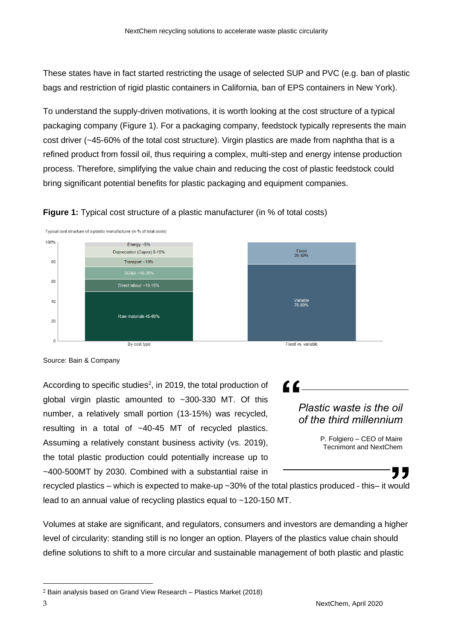These states have in fact started restricting the usage of selected SUP and PVC (e.g. ban of plastic bags and restriction of rigid plastic containers in California, ban of EPS containers in New York).

To understand the supply-driven motivations, it is worth looking at the cost structure of a typical packaging company (Figure 1). For a packaging company, feedstock typically represents the main cost driver (~45-60% of the total cost structure). Virgin plastics are made from naphtha that is a refined product from fossil oil, thus requiring a complex, multi-step and energy intense production process. Therefore, simplifying the value chain and reducing the cost of plastic feedstock could bring significant potential benefits for plastic packaging and equipment companies.





Source: Bain & Company

According to specific studies<sup>2</sup>, in 2019, the total production of global virgin plastic amounted to ~300-330 MT. Of this number, a relatively small portion (13-15%) was recycled, resulting in a total of ~40-45 MT of recycled plastics. Assuming a relatively constant business activity (vs. 2019), the total plastic production could potentially increase up to ~400-500MT by 2030. Combined with a substantial raise in

 $\epsilon$ 

## *Plastic waste is the oil of the third millennium*

P. Folgiero – CEO of Maire Tecnimont and NextChem

77

recycled plastics – which is expected to make-up ~30% of the total plastics produced - this– it would lead to an annual value of recycling plastics equal to ~120-150 MT.

Volumes at stake are significant, and regulators, consumers and investors are demanding a higher level of circularity: standing still is no longer an option. Players of the plastics value chain should define solutions to shift to a more circular and sustainable management of both plastic and plastic

<sup>2</sup> Bain analysis based on Grand View Research – Plastics Market (2018)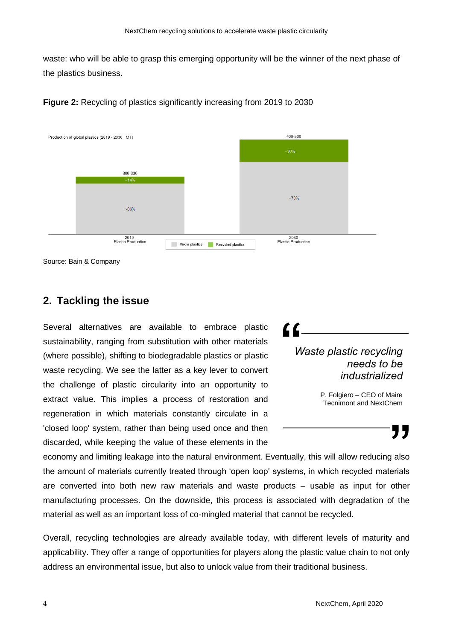waste: who will be able to grasp this emerging opportunity will be the winner of the next phase of the plastics business.





Source: Bain & Company

## **2. Tackling the issue**

Several alternatives are available to embrace plastic sustainability, ranging from substitution with other materials (where possible), shifting to biodegradable plastics or plastic waste recycling. We see the latter as a key lever to convert the challenge of plastic circularity into an opportunity to extract value. This implies a process of restoration and regeneration in which materials constantly circulate in a 'closed loop' system, rather than being used once and then discarded, while keeping the value of these elements in the

*Waste plastic recycling needs to be industrialized* 

 $\epsilon$ 

P. Folgiero - CEO of Maire Tecnimont and NextChem

# 77

economy and limiting leakage into the natural environment. Eventually, this will allow reducing also the amount of materials currently treated through 'open loop' systems, in which recycled materials are converted into both new raw materials and waste products – usable as input for other manufacturing processes. On the downside, this process is associated with degradation of the material as well as an important loss of co-mingled material that cannot be recycled.

Overall, recycling technologies are already available today, with different levels of maturity and applicability. They offer a range of opportunities for players along the plastic value chain to not only address an environmental issue, but also to unlock value from their traditional business.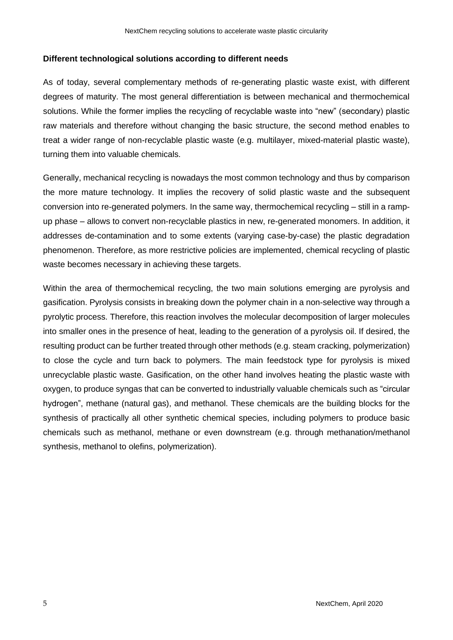### **Different technological solutions according to different needs**

As of today, several complementary methods of re-generating plastic waste exist, with different degrees of maturity. The most general differentiation is between mechanical and thermochemical solutions. While the former implies the recycling of recyclable waste into "new" (secondary) plastic raw materials and therefore without changing the basic structure, the second method enables to treat a wider range of non-recyclable plastic waste (e.g. multilayer, mixed-material plastic waste), turning them into valuable chemicals.

Generally, mechanical recycling is nowadays the most common technology and thus by comparison the more mature technology. It implies the recovery of solid plastic waste and the subsequent conversion into re-generated polymers. In the same way, thermochemical recycling – still in a rampup phase – allows to convert non-recyclable plastics in new, re-generated monomers. In addition, it addresses de-contamination and to some extents (varying case-by-case) the plastic degradation phenomenon. Therefore, as more restrictive policies are implemented, chemical recycling of plastic waste becomes necessary in achieving these targets.

Within the area of thermochemical recycling, the two main solutions emerging are pyrolysis and gasification. Pyrolysis consists in breaking down the polymer chain in a non-selective way through a pyrolytic process. Therefore, this reaction involves the molecular decomposition of larger molecules into smaller ones in the presence of heat, leading to the generation of a pyrolysis oil. If desired, the resulting product can be further treated through other methods (e.g. steam cracking, polymerization) to close the cycle and turn back to polymers. The main feedstock type for pyrolysis is mixed unrecyclable plastic waste. Gasification, on the other hand involves heating the plastic waste with oxygen, to produce syngas that can be converted to industrially valuable chemicals such as "circular hydrogen", methane (natural gas), and methanol. These chemicals are the building blocks for the synthesis of practically all other synthetic chemical species, including polymers to produce basic chemicals such as methanol, methane or even downstream (e.g. through methanation/methanol synthesis, methanol to olefins, polymerization).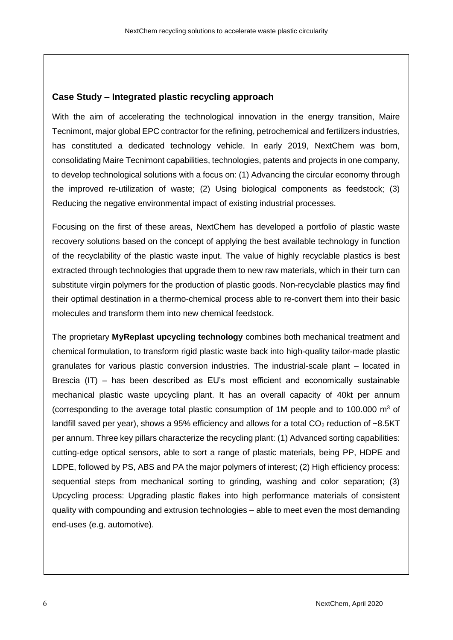### **Case Study – Integrated plastic recycling approach**

With the aim of accelerating the technological innovation in the energy transition, Maire Tecnimont, major global EPC contractor for the refining, petrochemical and fertilizers industries, has constituted a dedicated technology vehicle. In early 2019, NextChem was born, consolidating Maire Tecnimont capabilities, technologies, patents and projects in one company, to develop technological solutions with a focus on: (1) Advancing the circular economy through the improved re-utilization of waste; (2) Using biological components as feedstock; (3) Reducing the negative environmental impact of existing industrial processes.

Focusing on the first of these areas, NextChem has developed a portfolio of plastic waste recovery solutions based on the concept of applying the best available technology in function of the recyclability of the plastic waste input. The value of highly recyclable plastics is best extracted through technologies that upgrade them to new raw materials, which in their turn can substitute virgin polymers for the production of plastic goods. Non-recyclable plastics may find their optimal destination in a thermo-chemical process able to re-convert them into their basic molecules and transform them into new chemical feedstock.

The proprietary **MyReplast upcycling technology** combines both mechanical treatment and chemical formulation, to transform rigid plastic waste back into high-quality tailor-made plastic granulates for various plastic conversion industries. The industrial-scale plant – located in Brescia (IT) – has been described as EU's most efficient and economically sustainable mechanical plastic waste upcycling plant. It has an overall capacity of 40kt per annum (corresponding to the average total plastic consumption of 1M people and to 100.000  $\text{m}^3$  of landfill saved per year), shows a 95% efficiency and allows for a total  $CO<sub>2</sub>$  reduction of ~8.5KT per annum. Three key pillars characterize the recycling plant: (1) Advanced sorting capabilities: cutting-edge optical sensors, able to sort a range of plastic materials, being PP, HDPE and LDPE, followed by PS, ABS and PA the major polymers of interest; (2) High efficiency process: sequential steps from mechanical sorting to grinding, washing and color separation; (3) Upcycling process: Upgrading plastic flakes into high performance materials of consistent quality with compounding and extrusion technologies – able to meet even the most demanding end-uses (e.g. automotive).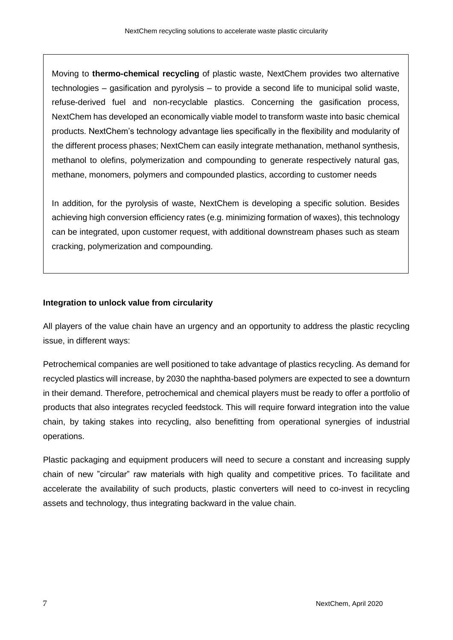Moving to **thermo-chemical recycling** of plastic waste, NextChem provides two alternative technologies – gasification and pyrolysis – to provide a second life to municipal solid waste, refuse-derived fuel and non-recyclable plastics. Concerning the gasification process, NextChem has developed an economically viable model to transform waste into basic chemical products. NextChem's technology advantage lies specifically in the flexibility and modularity of the different process phases; NextChem can easily integrate methanation, methanol synthesis, methanol to olefins, polymerization and compounding to generate respectively natural gas, methane, monomers, polymers and compounded plastics, according to customer needs

In addition, for the pyrolysis of waste, NextChem is developing a specific solution. Besides achieving high conversion efficiency rates (e.g. minimizing formation of waxes), this technology can be integrated, upon customer request, with additional downstream phases such as steam cracking, polymerization and compounding.

### **Integration to unlock value from circularity**

All players of the value chain have an urgency and an opportunity to address the plastic recycling issue, in different ways:

Petrochemical companies are well positioned to take advantage of plastics recycling. As demand for recycled plastics will increase, by 2030 the naphtha-based polymers are expected to see a downturn in their demand. Therefore, petrochemical and chemical players must be ready to offer a portfolio of products that also integrates recycled feedstock. This will require forward integration into the value chain, by taking stakes into recycling, also benefitting from operational synergies of industrial operations.

Plastic packaging and equipment producers will need to secure a constant and increasing supply chain of new "circular" raw materials with high quality and competitive prices. To facilitate and accelerate the availability of such products, plastic converters will need to co-invest in recycling assets and technology, thus integrating backward in the value chain.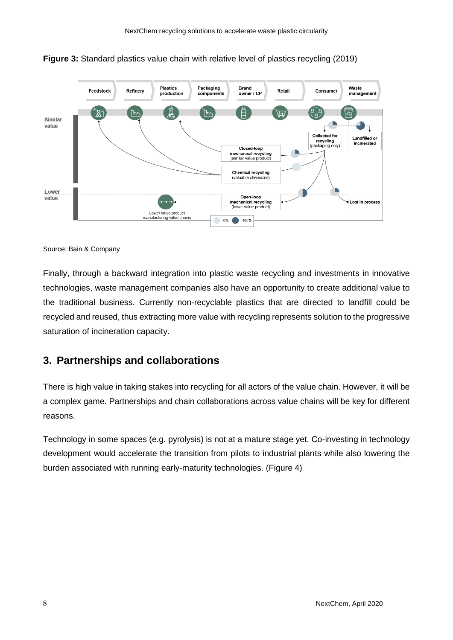



Source: Bain & Company

Finally, through a backward integration into plastic waste recycling and investments in innovative technologies, waste management companies also have an opportunity to create additional value to the traditional business. Currently non-recyclable plastics that are directed to landfill could be recycled and reused, thus extracting more value with recycling represents solution to the progressive saturation of incineration capacity.

# **3. Partnerships and collaborations**

There is high value in taking stakes into recycling for all actors of the value chain. However, it will be a complex game. Partnerships and chain collaborations across value chains will be key for different reasons.

Technology in some spaces (e.g. pyrolysis) is not at a mature stage yet. Co-investing in technology development would accelerate the transition from pilots to industrial plants while also lowering the burden associated with running early-maturity technologies. (Figure 4)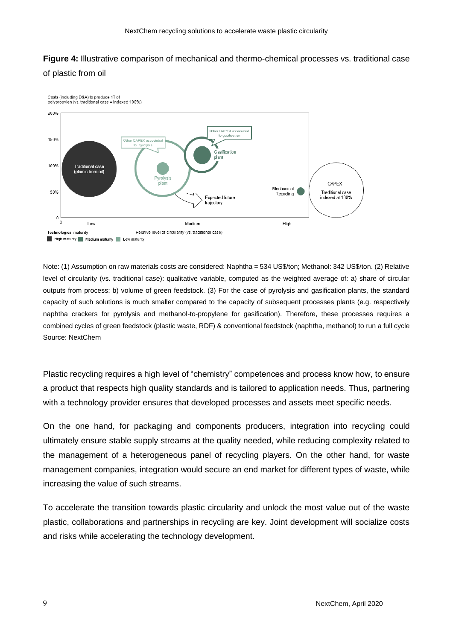# **Figure 4:** Illustrative comparison of mechanical and thermo-chemical processes vs. traditional case of plastic from oil



Note: (1) Assumption on raw materials costs are considered: Naphtha = 534 US\$/ton: Methanol: 342 US\$/ton. (2) Relative level of circularity (vs. traditional case): qualitative variable, computed as the weighted average of: a) share of circular outputs from process; b) volume of green feedstock. (3) For the case of pyrolysis and gasification plants, the standard capacity of such solutions is much smaller compared to the capacity of subsequent processes plants (e.g. respectively naphtha crackers for pyrolysis and methanol-to-propylene for gasification). Therefore, these processes requires a combined cycles of green feedstock (plastic waste, RDF) & conventional feedstock (naphtha, methanol) to run a full cycle Source: NextChem

Plastic recycling requires a high level of "chemistry" competences and process know how, to ensure a product that respects high quality standards and is tailored to application needs. Thus, partnering with a technology provider ensures that developed processes and assets meet specific needs.

On the one hand, for packaging and components producers, integration into recycling could ultimately ensure stable supply streams at the quality needed, while reducing complexity related to the management of a heterogeneous panel of recycling players. On the other hand, for waste management companies, integration would secure an end market for different types of waste, while increasing the value of such streams.

To accelerate the transition towards plastic circularity and unlock the most value out of the waste plastic, collaborations and partnerships in recycling are key. Joint development will socialize costs and risks while accelerating the technology development.